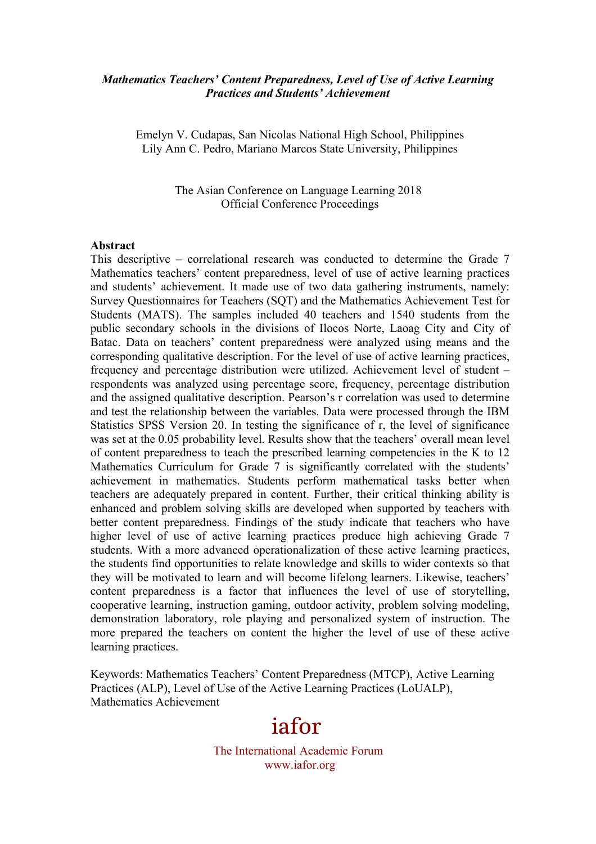#### *Mathematics Teachers' Content Preparedness, Level of Use of Active Learning Practices and Students' Achievement*

Emelyn V. Cudapas, San Nicolas National High School, Philippines Lily Ann C. Pedro, Mariano Marcos State University, Philippines

> The Asian Conference on Language Learning 2018 Official Conference Proceedings

#### **Abstract**

This descriptive – correlational research was conducted to determine the Grade 7 Mathematics teachers' content preparedness, level of use of active learning practices and students' achievement. It made use of two data gathering instruments, namely: Survey Questionnaires for Teachers (SQT) and the Mathematics Achievement Test for Students (MATS). The samples included 40 teachers and 1540 students from the public secondary schools in the divisions of Ilocos Norte, Laoag City and City of Batac. Data on teachers' content preparedness were analyzed using means and the corresponding qualitative description. For the level of use of active learning practices, frequency and percentage distribution were utilized. Achievement level of student – respondents was analyzed using percentage score, frequency, percentage distribution and the assigned qualitative description. Pearson's r correlation was used to determine and test the relationship between the variables. Data were processed through the IBM Statistics SPSS Version 20. In testing the significance of r, the level of significance was set at the 0.05 probability level. Results show that the teachers' overall mean level of content preparedness to teach the prescribed learning competencies in the K to 12 Mathematics Curriculum for Grade 7 is significantly correlated with the students' achievement in mathematics. Students perform mathematical tasks better when teachers are adequately prepared in content. Further, their critical thinking ability is enhanced and problem solving skills are developed when supported by teachers with better content preparedness. Findings of the study indicate that teachers who have higher level of use of active learning practices produce high achieving Grade 7 students. With a more advanced operationalization of these active learning practices, the students find opportunities to relate knowledge and skills to wider contexts so that they will be motivated to learn and will become lifelong learners. Likewise, teachers' content preparedness is a factor that influences the level of use of storytelling, cooperative learning, instruction gaming, outdoor activity, problem solving modeling, demonstration laboratory, role playing and personalized system of instruction. The more prepared the teachers on content the higher the level of use of these active learning practices.

Keywords: Mathematics Teachers' Content Preparedness (MTCP), Active Learning Practices (ALP), Level of Use of the Active Learning Practices (LoUALP), Mathematics Achievement

# iafor

The International Academic Forum www.iafor.org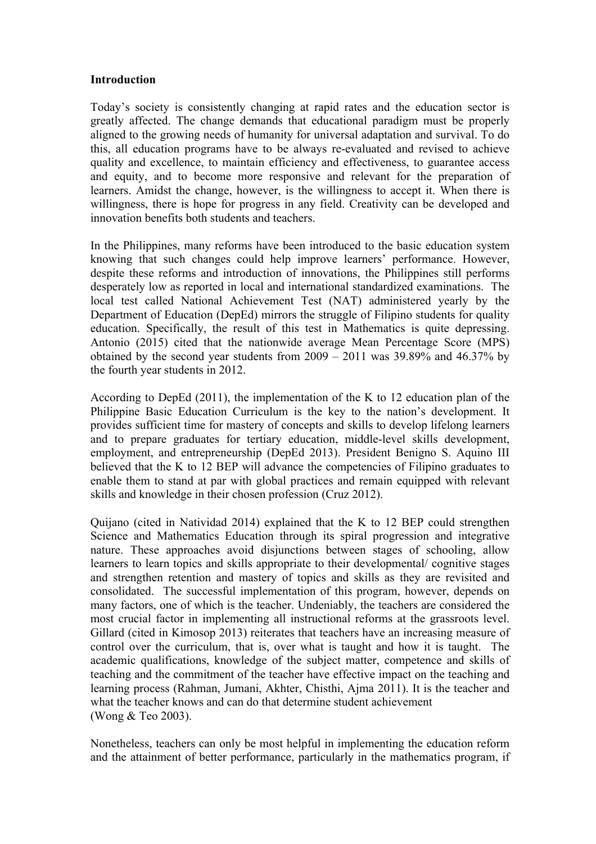#### **Introduction**

Today's society is consistently changing at rapid rates and the education sector is greatly affected. The change demands that educational paradigm must be properly aligned to the growing needs of humanity for universal adaptation and survival. To do this, all education programs have to be always re-evaluated and revised to achieve quality and excellence, to maintain efficiency and effectiveness, to guarantee access and equity, and to become more responsive and relevant for the preparation of learners. Amidst the change, however, is the willingness to accept it. When there is willingness, there is hope for progress in any field. Creativity can be developed and innovation benefits both students and teachers.

In the Philippines, many reforms have been introduced to the basic education system knowing that such changes could help improve learners' performance. However, despite these reforms and introduction of innovations, the Philippines still performs desperately low as reported in local and international standardized examinations. The local test called National Achievement Test (NAT) administered yearly by the Department of Education (DepEd) mirrors the struggle of Filipino students for quality education. Specifically, the result of this test in Mathematics is quite depressing. Antonio (2015) cited that the nationwide average Mean Percentage Score (MPS) obtained by the second year students from 2009 – 2011 was 39.89% and 46.37% by the fourth year students in 2012.

According to DepEd (2011), the implementation of the K to 12 education plan of the Philippine Basic Education Curriculum is the key to the nation's development. It provides sufficient time for mastery of concepts and skills to develop lifelong learners and to prepare graduates for tertiary education, middle-level skills development, employment, and entrepreneurship (DepEd 2013). President Benigno S. Aquino III believed that the K to 12 BEP will advance the competencies of Filipino graduates to enable them to stand at par with global practices and remain equipped with relevant skills and knowledge in their chosen profession (Cruz 2012).

Quijano (cited in Natividad 2014) explained that the K to 12 BEP could strengthen Science and Mathematics Education through its spiral progression and integrative nature. These approaches avoid disjunctions between stages of schooling, allow learners to learn topics and skills appropriate to their developmental/ cognitive stages and strengthen retention and mastery of topics and skills as they are revisited and consolidated. The successful implementation of this program, however, depends on many factors, one of which is the teacher. Undeniably, the teachers are considered the most crucial factor in implementing all instructional reforms at the grassroots level. Gillard (cited in Kimosop 2013) reiterates that teachers have an increasing measure of control over the curriculum, that is, over what is taught and how it is taught. The academic qualifications, knowledge of the subject matter, competence and skills of teaching and the commitment of the teacher have effective impact on the teaching and learning process (Rahman, Jumani, Akhter, Chisthi, Ajma 2011). It is the teacher and what the teacher knows and can do that determine student achievement (Wong & Teo 2003).

Nonetheless, teachers can only be most helpful in implementing the education reform and the attainment of better performance, particularly in the mathematics program, if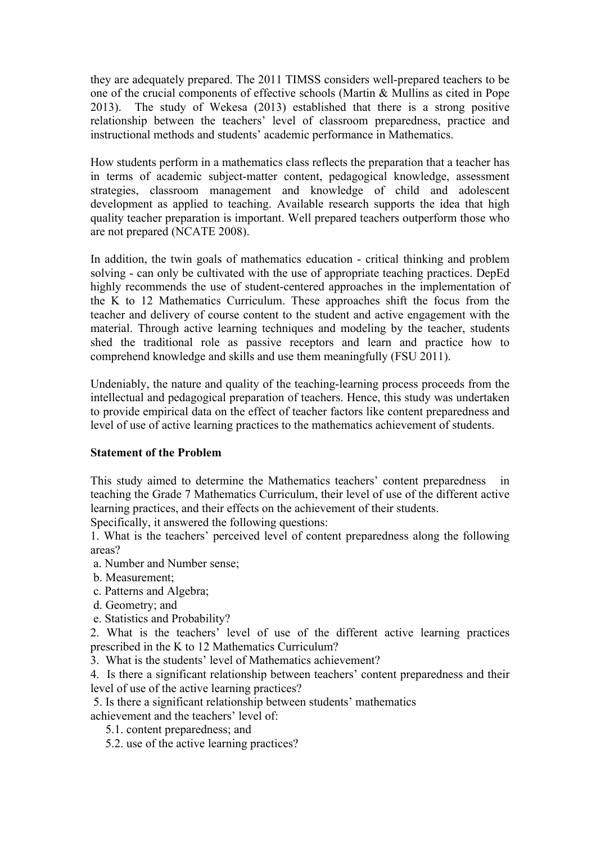they are adequately prepared. The 2011 TIMSS considers well-prepared teachers to be one of the crucial components of effective schools (Martin & Mullins as cited in Pope 2013). The study of Wekesa (2013) established that there is a strong positive relationship between the teachers' level of classroom preparedness, practice and instructional methods and students' academic performance in Mathematics.

How students perform in a mathematics class reflects the preparation that a teacher has in terms of academic subject-matter content, pedagogical knowledge, assessment strategies, classroom management and knowledge of child and adolescent development as applied to teaching. Available research supports the idea that high quality teacher preparation is important. Well prepared teachers outperform those who are not prepared (NCATE 2008).

In addition, the twin goals of mathematics education - critical thinking and problem solving - can only be cultivated with the use of appropriate teaching practices. DepEd highly recommends the use of student-centered approaches in the implementation of the K to 12 Mathematics Curriculum. These approaches shift the focus from the teacher and delivery of course content to the student and active engagement with the material. Through active learning techniques and modeling by the teacher, students shed the traditional role as passive receptors and learn and practice how to comprehend knowledge and skills and use them meaningfully (FSU 2011).

Undeniably, the nature and quality of the teaching-learning process proceeds from the intellectual and pedagogical preparation of teachers. Hence, this study was undertaken to provide empirical data on the effect of teacher factors like content preparedness and level of use of active learning practices to the mathematics achievement of students.

# **Statement of the Problem**

This study aimed to determine the Mathematics teachers' content preparedness in teaching the Grade 7 Mathematics Curriculum, their level of use of the different active learning practices, and their effects on the achievement of their students.

Specifically, it answered the following questions:

1. What is the teachers' perceived level of content preparedness along the following areas?

- a. Number and Number sense;
- b. Measurement;
- c. Patterns and Algebra;
- d. Geometry; and
- e. Statistics and Probability?

2. What is the teachers' level of use of the different active learning practices prescribed in the K to 12 Mathematics Curriculum?

3. What is the students' level of Mathematics achievement?

4. Is there a significant relationship between teachers' content preparedness and their level of use of the active learning practices?

5. Is there a significant relationship between students' mathematics

achievement and the teachers' level of:

- 5.1. content preparedness; and
- 5.2. use of the active learning practices?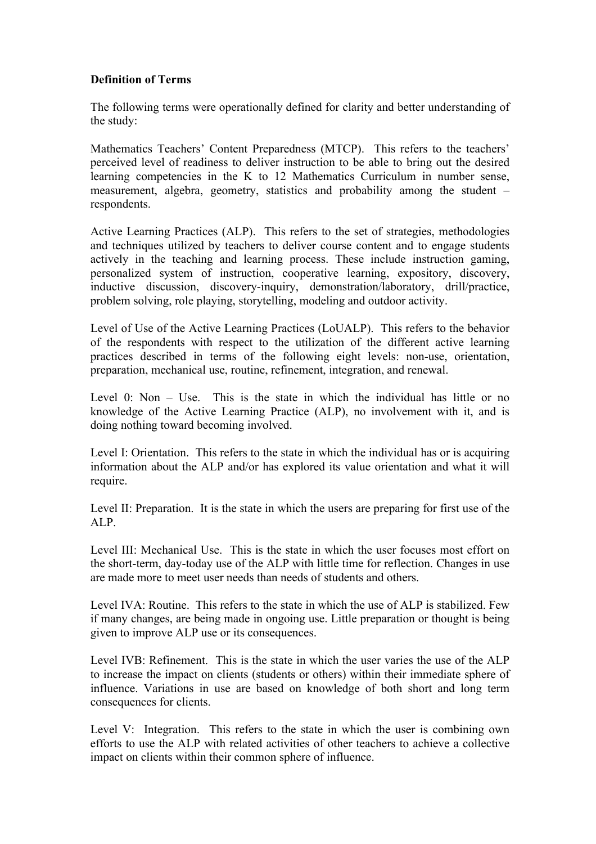# **Definition of Terms**

The following terms were operationally defined for clarity and better understanding of the study:

Mathematics Teachers' Content Preparedness (MTCP). This refers to the teachers' perceived level of readiness to deliver instruction to be able to bring out the desired learning competencies in the K to 12 Mathematics Curriculum in number sense, measurement, algebra, geometry, statistics and probability among the student – respondents.

Active Learning Practices (ALP). This refers to the set of strategies, methodologies and techniques utilized by teachers to deliver course content and to engage students actively in the teaching and learning process. These include instruction gaming, personalized system of instruction, cooperative learning, expository, discovery, inductive discussion, discovery-inquiry, demonstration/laboratory, drill/practice, problem solving, role playing, storytelling, modeling and outdoor activity.

Level of Use of the Active Learning Practices (LoUALP). This refers to the behavior of the respondents with respect to the utilization of the different active learning practices described in terms of the following eight levels: non-use, orientation, preparation, mechanical use, routine, refinement, integration, and renewal.

Level 0: Non – Use. This is the state in which the individual has little or no knowledge of the Active Learning Practice (ALP), no involvement with it, and is doing nothing toward becoming involved.

Level I: Orientation. This refers to the state in which the individual has or is acquiring information about the ALP and/or has explored its value orientation and what it will require.

Level II: Preparation. It is the state in which the users are preparing for first use of the ALP.

Level III: Mechanical Use. This is the state in which the user focuses most effort on the short-term, day-today use of the ALP with little time for reflection. Changes in use are made more to meet user needs than needs of students and others.

Level IVA: Routine. This refers to the state in which the use of ALP is stabilized. Few if many changes, are being made in ongoing use. Little preparation or thought is being given to improve ALP use or its consequences.

Level IVB: Refinement. This is the state in which the user varies the use of the ALP to increase the impact on clients (students or others) within their immediate sphere of influence. Variations in use are based on knowledge of both short and long term consequences for clients.

Level V: Integration. This refers to the state in which the user is combining own efforts to use the ALP with related activities of other teachers to achieve a collective impact on clients within their common sphere of influence.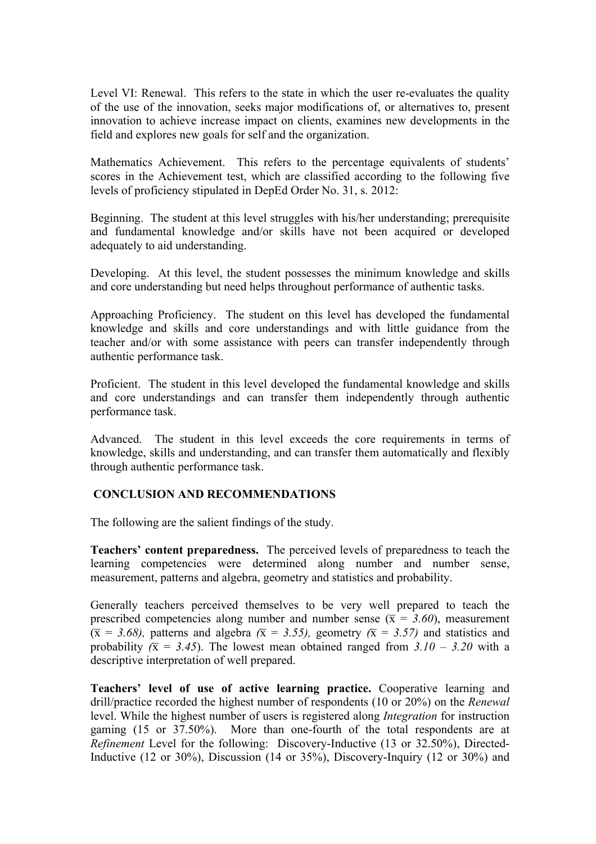Level VI: Renewal. This refers to the state in which the user re-evaluates the quality of the use of the innovation, seeks major modifications of, or alternatives to, present innovation to achieve increase impact on clients, examines new developments in the field and explores new goals for self and the organization.

Mathematics Achievement. This refers to the percentage equivalents of students' scores in the Achievement test, which are classified according to the following five levels of proficiency stipulated in DepEd Order No. 31, s. 2012:

Beginning. The student at this level struggles with his/her understanding; prerequisite and fundamental knowledge and/or skills have not been acquired or developed adequately to aid understanding.

Developing. At this level, the student possesses the minimum knowledge and skills and core understanding but need helps throughout performance of authentic tasks.

Approaching Proficiency. The student on this level has developed the fundamental knowledge and skills and core understandings and with little guidance from the teacher and/or with some assistance with peers can transfer independently through authentic performance task.

Proficient. The student in this level developed the fundamental knowledge and skills and core understandings and can transfer them independently through authentic performance task.

Advanced. The student in this level exceeds the core requirements in terms of knowledge, skills and understanding, and can transfer them automatically and flexibly through authentic performance task.

# **CONCLUSION AND RECOMMENDATIONS**

The following are the salient findings of the study.

**Teachers' content preparedness.** The perceived levels of preparedness to teach the learning competencies were determined along number and number sense, measurement, patterns and algebra, geometry and statistics and probability.

Generally teachers perceived themselves to be very well prepared to teach the prescribed competencies along number and number sense ( $\bar{x} = 3.60$ ), measurement  $(\bar{x} = 3.68)$ , patterns and algebra  $(\bar{x} = 3.55)$ , geometry  $(\bar{x} = 3.57)$  and statistics and probability  $(\bar{x} = 3.45)$ . The lowest mean obtained ranged from  $3.10 - 3.20$  with a descriptive interpretation of well prepared.

**Teachers' level of use of active learning practice.** Cooperative learning and drill/practice recorded the highest number of respondents (10 or 20%) on the *Renewal*  level. While the highest number of users is registered along *Integration* for instruction gaming (15 or 37.50%). More than one-fourth of the total respondents are at *Refinement* Level for the following: Discovery-Inductive (13 or 32.50%), Directed-Inductive (12 or 30%), Discussion (14 or 35%), Discovery-Inquiry (12 or 30%) and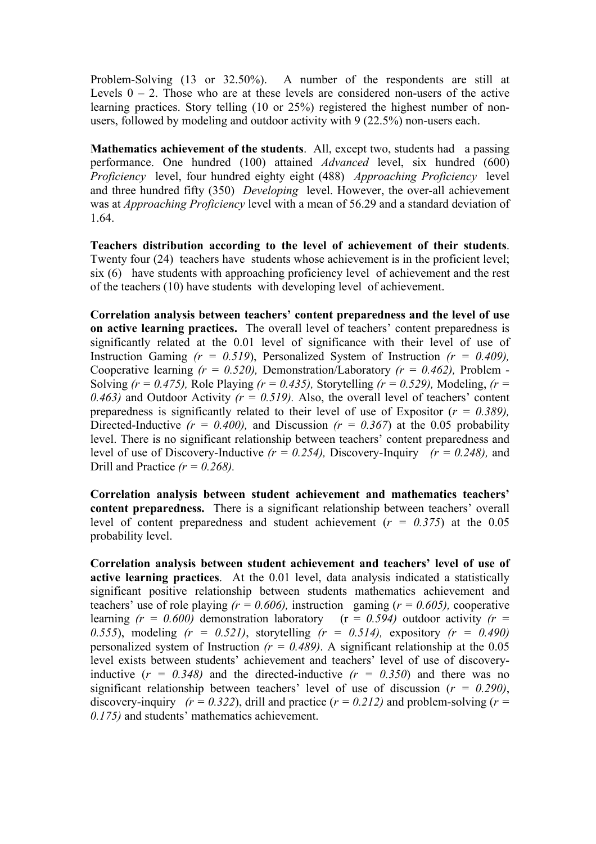Problem-Solving (13 or 32.50%). A number of the respondents are still at Levels  $0 - 2$ . Those who are at these levels are considered non-users of the active learning practices. Story telling (10 or 25%) registered the highest number of nonusers, followed by modeling and outdoor activity with 9 (22.5%) non-users each.

**Mathematics achievement of the students**. All, except two, students had a passing performance. One hundred (100) attained *Advanced* level, six hundred (600) *Proficiency* level, four hundred eighty eight (488) *Approaching Proficiency* level and three hundred fifty (350) *Developing* level. However, the over-all achievement was at *Approaching Proficiency* level with a mean of 56.29 and a standard deviation of 1.64.

**Teachers distribution according to the level of achievement of their students**. Twenty four (24) teachers have students whose achievement is in the proficient level; six (6) have students with approaching proficiency level of achievement and the rest of the teachers (10) have students with developing level of achievement.

**Correlation analysis between teachers' content preparedness and the level of use on active learning practices.** The overall level of teachers' content preparedness is significantly related at the 0.01 level of significance with their level of use of Instruction Gaming *(r = 0.519*), Personalized System of Instruction *(r = 0.409),*  Cooperative learning  $(r = 0.520)$ , Demonstration/Laboratory  $(r = 0.462)$ , Problem -Solving *(r = 0.475),* Role Playing *(r = 0.435),* Storytelling *(r = 0.529),* Modeling, *(r = 0.463)* and Outdoor Activity  $(r = 0.519)$ . Also, the overall level of teachers' content preparedness is significantly related to their level of use of Expositor (*r = 0.389),* Directed-Inductive  $(r = 0.400)$ , and Discussion  $(r = 0.367)$  at the 0.05 probability level. There is no significant relationship between teachers' content preparedness and level of use of Discovery-Inductive *(r = 0.254),* Discovery-Inquiry *(r = 0.248),* and Drill and Practice *(r = 0.268).*

**Correlation analysis between student achievement and mathematics teachers' content preparedness.** There is a significant relationship between teachers' overall level of content preparedness and student achievement  $(r = 0.375)$  at the 0.05 probability level.

**Correlation analysis between student achievement and teachers' level of use of active learning practices**. At the 0.01 level, data analysis indicated a statistically significant positive relationship between students mathematics achievement and teachers' use of role playing  $(r = 0.606)$ , instruction gaming  $(r = 0.605)$ , cooperative learning  $(r = 0.600)$  demonstration laboratory  $(r = 0.594)$  outdoor activity  $(r = 0.594)$ *0.555*), modeling *(r = 0.521)*, storytelling *(r = 0.514),* expository *(r = 0.490)*  personalized system of Instruction  $(r = 0.489)$ . A significant relationship at the 0.05 level exists between students' achievement and teachers' level of use of discoveryinductive  $(r = 0.348)$  and the directed-inductive  $(r = 0.350)$  and there was no significant relationship between teachers' level of use of discussion (*r = 0.290)*, discovery-inquiry  $(r = 0.322)$ , drill and practice  $(r = 0.212)$  and problem-solving  $(r = 0.212)$ *0.175)* and students' mathematics achievement.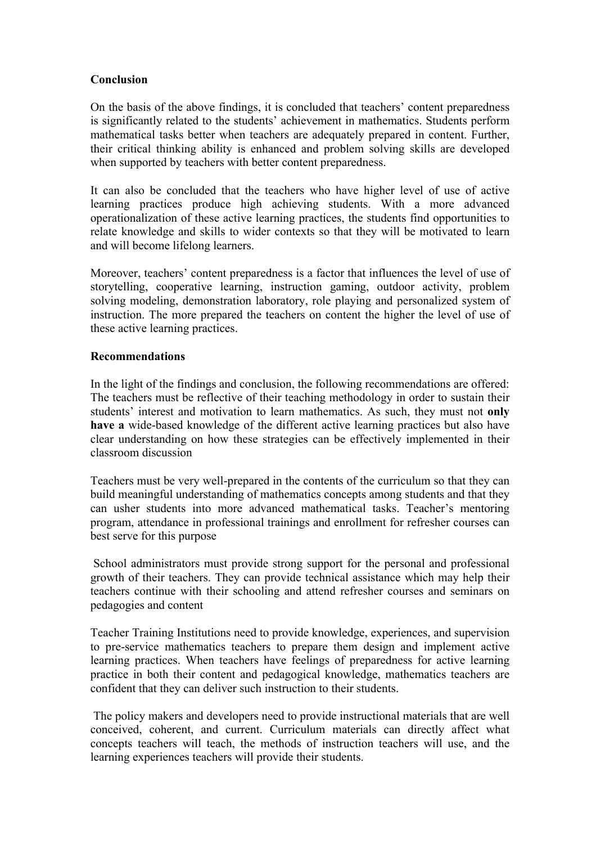# **Conclusion**

On the basis of the above findings, it is concluded that teachers' content preparedness is significantly related to the students' achievement in mathematics. Students perform mathematical tasks better when teachers are adequately prepared in content. Further, their critical thinking ability is enhanced and problem solving skills are developed when supported by teachers with better content preparedness.

It can also be concluded that the teachers who have higher level of use of active learning practices produce high achieving students. With a more advanced operationalization of these active learning practices, the students find opportunities to relate knowledge and skills to wider contexts so that they will be motivated to learn and will become lifelong learners.

Moreover, teachers' content preparedness is a factor that influences the level of use of storytelling, cooperative learning, instruction gaming, outdoor activity, problem solving modeling, demonstration laboratory, role playing and personalized system of instruction. The more prepared the teachers on content the higher the level of use of these active learning practices.

## **Recommendations**

In the light of the findings and conclusion, the following recommendations are offered: The teachers must be reflective of their teaching methodology in order to sustain their students' interest and motivation to learn mathematics. As such, they must not **only have a** wide-based knowledge of the different active learning practices but also have clear understanding on how these strategies can be effectively implemented in their classroom discussion

Teachers must be very well-prepared in the contents of the curriculum so that they can build meaningful understanding of mathematics concepts among students and that they can usher students into more advanced mathematical tasks. Teacher's mentoring program, attendance in professional trainings and enrollment for refresher courses can best serve for this purpose

School administrators must provide strong support for the personal and professional growth of their teachers. They can provide technical assistance which may help their teachers continue with their schooling and attend refresher courses and seminars on pedagogies and content

Teacher Training Institutions need to provide knowledge, experiences, and supervision to pre-service mathematics teachers to prepare them design and implement active learning practices. When teachers have feelings of preparedness for active learning practice in both their content and pedagogical knowledge, mathematics teachers are confident that they can deliver such instruction to their students.

The policy makers and developers need to provide instructional materials that are well conceived, coherent, and current. Curriculum materials can directly affect what concepts teachers will teach, the methods of instruction teachers will use, and the learning experiences teachers will provide their students.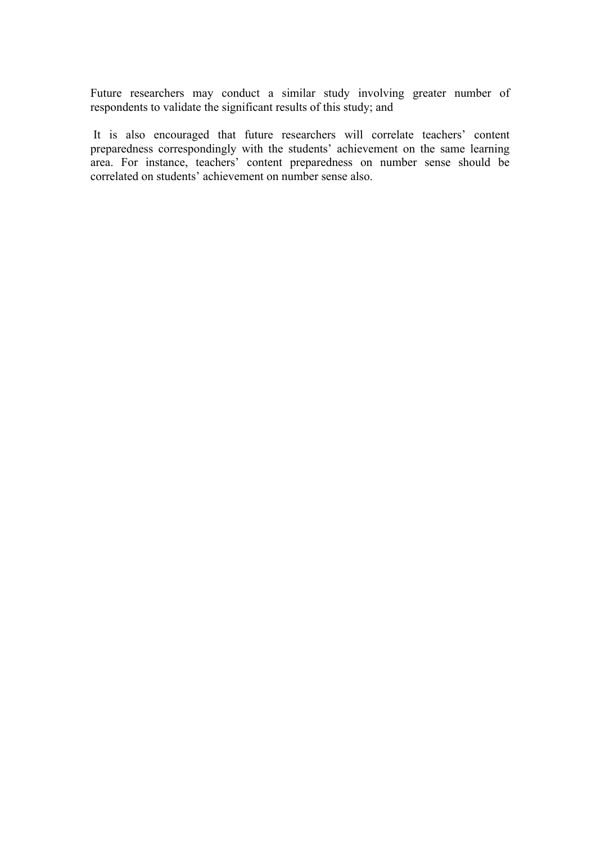Future researchers may conduct a similar study involving greater number of respondents to validate the significant results of this study; and

It is also encouraged that future researchers will correlate teachers' content preparedness correspondingly with the students' achievement on the same learning area. For instance, teachers' content preparedness on number sense should be correlated on students' achievement on number sense also.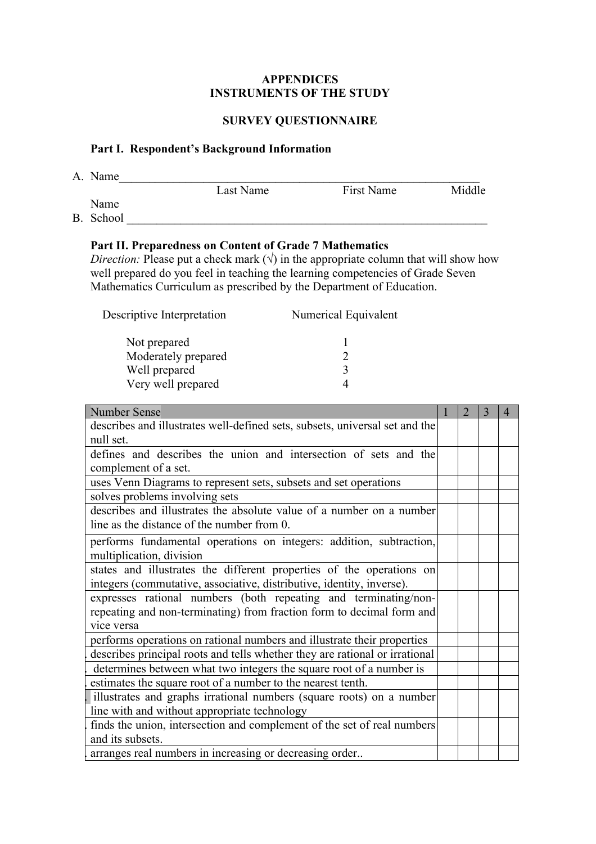#### **APPENDICES INSTRUMENTS OF THE STUDY**

# **SURVEY QUESTIONNAIRE**

# **Part I. Respondent's Background Information**

| A. Name   |           |            |        |
|-----------|-----------|------------|--------|
|           | Last Name | First Name | Middle |
| Name      |           |            |        |
| B. School |           |            |        |

## **Part II. Preparedness on Content of Grade 7 Mathematics**

*Direction:* Please put a check mark  $(\sqrt{})$  in the appropriate column that will show how well prepared do you feel in teaching the learning competencies of Grade Seven Mathematics Curriculum as prescribed by the Department of Education.

| Descriptive Interpretation | Numerical Equivalent |  |  |  |  |
|----------------------------|----------------------|--|--|--|--|
| Not prepared               |                      |  |  |  |  |
| Moderately prepared        |                      |  |  |  |  |
| Well prepared              | 2                    |  |  |  |  |
| Very well prepared         |                      |  |  |  |  |
|                            |                      |  |  |  |  |

| <b>Number Sense</b>                                                                                                                                    | $\overline{2}$ | 3 |  |
|--------------------------------------------------------------------------------------------------------------------------------------------------------|----------------|---|--|
| describes and illustrates well-defined sets, subsets, universal set and the                                                                            |                |   |  |
| null set.                                                                                                                                              |                |   |  |
| defines and describes the union and intersection of sets and the<br>complement of a set.                                                               |                |   |  |
| uses Venn Diagrams to represent sets, subsets and set operations                                                                                       |                |   |  |
| solves problems involving sets                                                                                                                         |                |   |  |
| describes and illustrates the absolute value of a number on a number<br>line as the distance of the number from 0.                                     |                |   |  |
| performs fundamental operations on integers: addition, subtraction,<br>multiplication, division                                                        |                |   |  |
| states and illustrates the different properties of the operations on<br>integers (commutative, associative, distributive, identity, inverse).          |                |   |  |
| expresses rational numbers (both repeating and terminating/non-<br>repeating and non-terminating) from fraction form to decimal form and<br>vice versa |                |   |  |
| performs operations on rational numbers and illustrate their properties                                                                                |                |   |  |
| describes principal roots and tells whether they are rational or irrational                                                                            |                |   |  |
| determines between what two integers the square root of a number is                                                                                    |                |   |  |
| estimates the square root of a number to the nearest tenth.                                                                                            |                |   |  |
| illustrates and graphs irrational numbers (square roots) on a number                                                                                   |                |   |  |
| line with and without appropriate technology                                                                                                           |                |   |  |
| finds the union, intersection and complement of the set of real numbers<br>and its subsets.                                                            |                |   |  |
| arranges real numbers in increasing or decreasing order                                                                                                |                |   |  |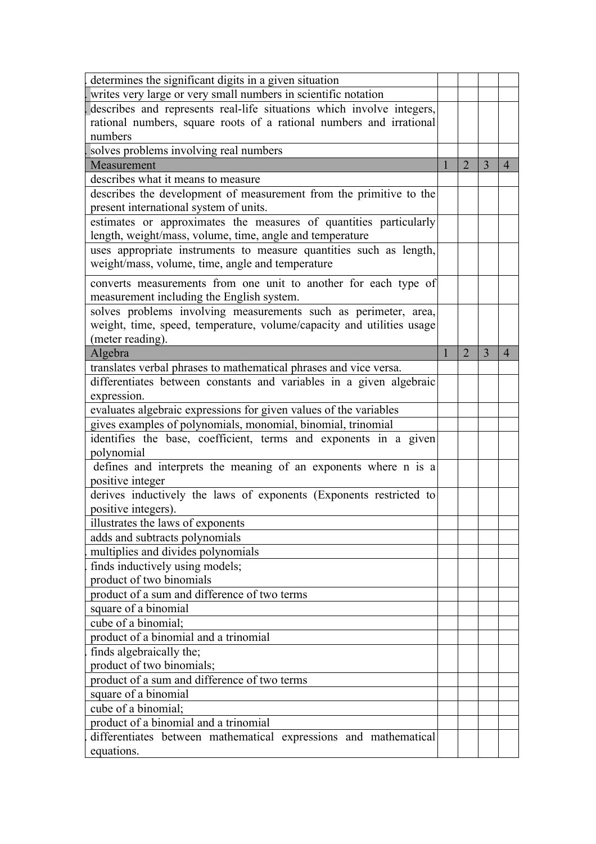| determines the significant digits in a given situation                                                                                                       |  |                |   |                |
|--------------------------------------------------------------------------------------------------------------------------------------------------------------|--|----------------|---|----------------|
| writes very large or very small numbers in scientific notation                                                                                               |  |                |   |                |
| describes and represents real-life situations which involve integers,                                                                                        |  |                |   |                |
| rational numbers, square roots of a rational numbers and irrational                                                                                          |  |                |   |                |
| numbers                                                                                                                                                      |  |                |   |                |
| solves problems involving real numbers                                                                                                                       |  |                |   |                |
| Measurement                                                                                                                                                  |  | $\overline{2}$ | 3 | $\overline{4}$ |
| describes what it means to measure                                                                                                                           |  |                |   |                |
| describes the development of measurement from the primitive to the<br>present international system of units.                                                 |  |                |   |                |
| estimates or approximates the measures of quantities particularly<br>length, weight/mass, volume, time, angle and temperature                                |  |                |   |                |
| uses appropriate instruments to measure quantities such as length,<br>weight/mass, volume, time, angle and temperature                                       |  |                |   |                |
| converts measurements from one unit to another for each type of<br>measurement including the English system.                                                 |  |                |   |                |
| solves problems involving measurements such as perimeter, area,<br>weight, time, speed, temperature, volume/capacity and utilities usage<br>(meter reading). |  |                |   |                |
| Algebra                                                                                                                                                      |  | $\overline{2}$ | 3 | $\overline{4}$ |
| translates verbal phrases to mathematical phrases and vice versa.                                                                                            |  |                |   |                |
| differentiates between constants and variables in a given algebraic                                                                                          |  |                |   |                |
| expression.                                                                                                                                                  |  |                |   |                |
| evaluates algebraic expressions for given values of the variables                                                                                            |  |                |   |                |
| gives examples of polynomials, monomial, binomial, trinomial                                                                                                 |  |                |   |                |
| identifies the base, coefficient, terms and exponents in a given                                                                                             |  |                |   |                |
| polynomial                                                                                                                                                   |  |                |   |                |
| defines and interprets the meaning of an exponents where n is a                                                                                              |  |                |   |                |
| positive integer                                                                                                                                             |  |                |   |                |
| derives inductively the laws of exponents (Exponents restricted to                                                                                           |  |                |   |                |
| positive integers).                                                                                                                                          |  |                |   |                |
| illustrates the laws of exponents                                                                                                                            |  |                |   |                |
| adds and subtracts polynomials                                                                                                                               |  |                |   |                |
| multiplies and divides polynomials                                                                                                                           |  |                |   |                |
| finds inductively using models;<br>product of two binomials                                                                                                  |  |                |   |                |
|                                                                                                                                                              |  |                |   |                |
| product of a sum and difference of two terms                                                                                                                 |  |                |   |                |
| square of a binomial<br>cube of a binomial;                                                                                                                  |  |                |   |                |
| product of a binomial and a trinomial                                                                                                                        |  |                |   |                |
|                                                                                                                                                              |  |                |   |                |
| finds algebraically the;<br>product of two binomials;                                                                                                        |  |                |   |                |
| product of a sum and difference of two terms                                                                                                                 |  |                |   |                |
| square of a binomial                                                                                                                                         |  |                |   |                |
| cube of a binomial;                                                                                                                                          |  |                |   |                |
| product of a binomial and a trinomial                                                                                                                        |  |                |   |                |
| differentiates between mathematical expressions and mathematical                                                                                             |  |                |   |                |
| equations.                                                                                                                                                   |  |                |   |                |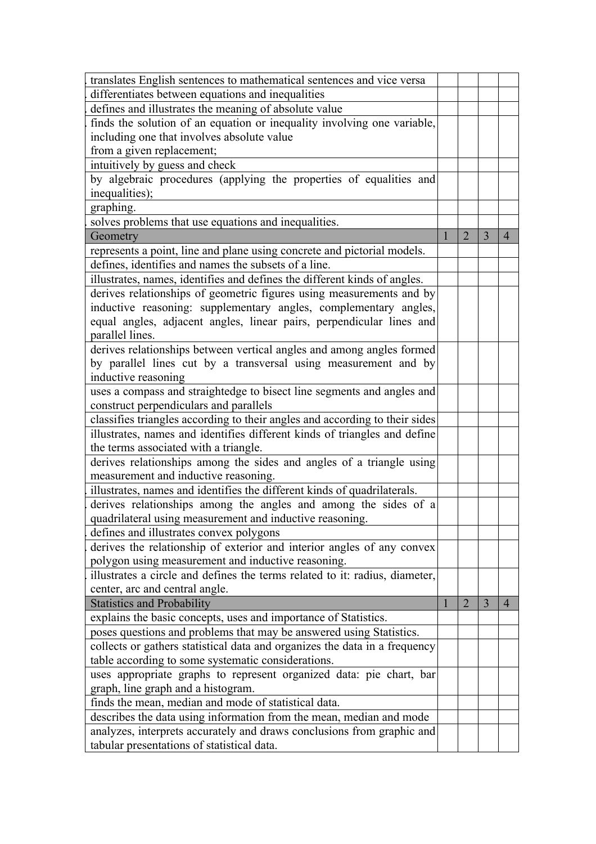| translates English sentences to mathematical sentences and vice versa       |  |                |                |                |
|-----------------------------------------------------------------------------|--|----------------|----------------|----------------|
| differentiates between equations and inequalities                           |  |                |                |                |
| defines and illustrates the meaning of absolute value                       |  |                |                |                |
| finds the solution of an equation or inequality involving one variable,     |  |                |                |                |
| including one that involves absolute value                                  |  |                |                |                |
| from a given replacement;                                                   |  |                |                |                |
| intuitively by guess and check                                              |  |                |                |                |
| by algebraic procedures (applying the properties of equalities and          |  |                |                |                |
| inequalities);                                                              |  |                |                |                |
| graphing.                                                                   |  |                |                |                |
| solves problems that use equations and inequalities.                        |  |                |                |                |
| Geometry                                                                    |  | $\overline{2}$ | $\overline{3}$ | $\overline{4}$ |
| represents a point, line and plane using concrete and pictorial models.     |  |                |                |                |
| defines, identifies and names the subsets of a line.                        |  |                |                |                |
| illustrates, names, identifies and defines the different kinds of angles.   |  |                |                |                |
| derives relationships of geometric figures using measurements and by        |  |                |                |                |
| inductive reasoning: supplementary angles, complementary angles,            |  |                |                |                |
| equal angles, adjacent angles, linear pairs, perpendicular lines and        |  |                |                |                |
| parallel lines.                                                             |  |                |                |                |
| derives relationships between vertical angles and among angles formed       |  |                |                |                |
| by parallel lines cut by a transversal using measurement and by             |  |                |                |                |
| inductive reasoning                                                         |  |                |                |                |
| uses a compass and straightedge to bisect line segments and angles and      |  |                |                |                |
| construct perpendiculars and parallels                                      |  |                |                |                |
| classifies triangles according to their angles and according to their sides |  |                |                |                |
| illustrates, names and identifies different kinds of triangles and define   |  |                |                |                |
| the terms associated with a triangle.                                       |  |                |                |                |
| derives relationships among the sides and angles of a triangle using        |  |                |                |                |
| measurement and inductive reasoning.                                        |  |                |                |                |
| illustrates, names and identifies the different kinds of quadrilaterals.    |  |                |                |                |
| derives relationships among the angles and among the sides of a             |  |                |                |                |
| quadrilateral using measurement and inductive reasoning                     |  |                |                |                |
| defines and illustrates convex polygons                                     |  |                |                |                |
| derives the relationship of exterior and interior angles of any convex      |  |                |                |                |
| polygon using measurement and inductive reasoning.                          |  |                |                |                |
| illustrates a circle and defines the terms related to it: radius, diameter, |  |                |                |                |
| center, arc and central angle.                                              |  |                |                |                |
| <b>Statistics and Probability</b>                                           |  | $\overline{2}$ | $\overline{3}$ | $\overline{4}$ |
| explains the basic concepts, uses and importance of Statistics.             |  |                |                |                |
| poses questions and problems that may be answered using Statistics.         |  |                |                |                |
| collects or gathers statistical data and organizes the data in a frequency  |  |                |                |                |
| table according to some systematic considerations.                          |  |                |                |                |
| uses appropriate graphs to represent organized data: pie chart, bar         |  |                |                |                |
| graph, line graph and a histogram.                                          |  |                |                |                |
| finds the mean, median and mode of statistical data.                        |  |                |                |                |
| describes the data using information from the mean, median and mode         |  |                |                |                |
| analyzes, interprets accurately and draws conclusions from graphic and      |  |                |                |                |
| tabular presentations of statistical data.                                  |  |                |                |                |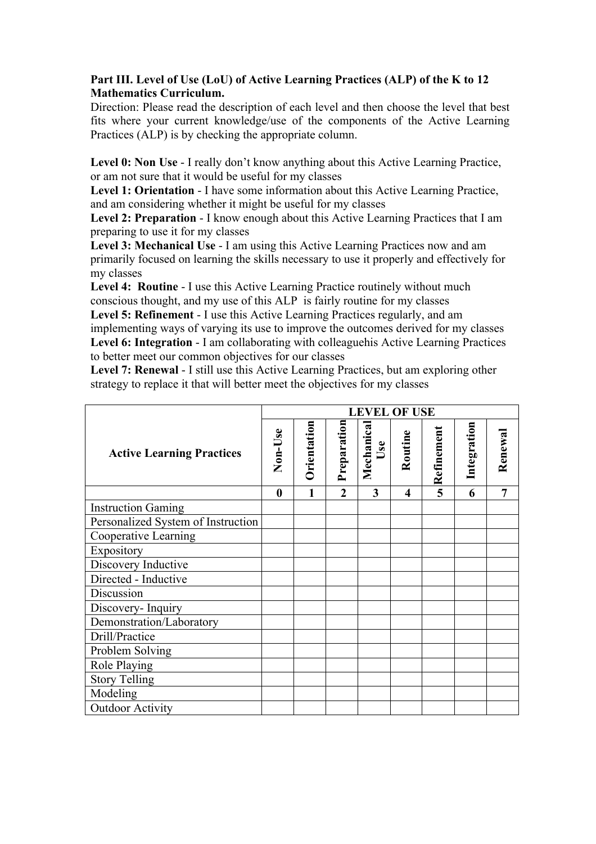# **Part III. Level of Use (LoU) of Active Learning Practices (ALP) of the K to 12 Mathematics Curriculum.**

Direction: Please read the description of each level and then choose the level that best fits where your current knowledge/use of the components of the Active Learning Practices (ALP) is by checking the appropriate column.

**Level 0: Non Use** - I really don't know anything about this Active Learning Practice, or am not sure that it would be useful for my classes

**Level 1: Orientation** - I have some information about this Active Learning Practice, and am considering whether it might be useful for my classes

**Level 2: Preparation** - I know enough about this Active Learning Practices that I am preparing to use it for my classes

**Level 3: Mechanical Use** - I am using this Active Learning Practices now and am primarily focused on learning the skills necessary to use it properly and effectively for my classes

**Level 4: Routine** - I use this Active Learning Practice routinely without much conscious thought, and my use of this ALP is fairly routine for my classes

**Level 5: Refinement** - I use this Active Learning Practices regularly, and am implementing ways of varying its use to improve the outcomes derived for my classes **Level 6: Integration** - I am collaborating with colleaguehis Active Learning Practices to better meet our common objectives for our classes

**Level 7: Renewal** - I still use this Active Learning Practices, but am exploring other strategy to replace it that will better meet the objectives for my classes

|                                    |         | <b>LEVEL OF USE</b> |                |                         |         |            |             |         |
|------------------------------------|---------|---------------------|----------------|-------------------------|---------|------------|-------------|---------|
| <b>Active Learning Practices</b>   | Non-Use | Orientation         | Preparation    | Mechanica<br>Use        | Routine | Refinement | Integration | Renewal |
|                                    | 0       | 1                   | $\overline{2}$ | $\overline{\mathbf{3}}$ | 4       | 5          | 6           | 7       |
| <b>Instruction Gaming</b>          |         |                     |                |                         |         |            |             |         |
| Personalized System of Instruction |         |                     |                |                         |         |            |             |         |
| Cooperative Learning               |         |                     |                |                         |         |            |             |         |
| Expository                         |         |                     |                |                         |         |            |             |         |
| Discovery Inductive                |         |                     |                |                         |         |            |             |         |
| Directed - Inductive               |         |                     |                |                         |         |            |             |         |
| Discussion                         |         |                     |                |                         |         |            |             |         |
| Discovery-Inquiry                  |         |                     |                |                         |         |            |             |         |
| Demonstration/Laboratory           |         |                     |                |                         |         |            |             |         |
| Drill/Practice                     |         |                     |                |                         |         |            |             |         |
| Problem Solving                    |         |                     |                |                         |         |            |             |         |
| Role Playing                       |         |                     |                |                         |         |            |             |         |
| <b>Story Telling</b>               |         |                     |                |                         |         |            |             |         |
| Modeling                           |         |                     |                |                         |         |            |             |         |
| <b>Outdoor Activity</b>            |         |                     |                |                         |         |            |             |         |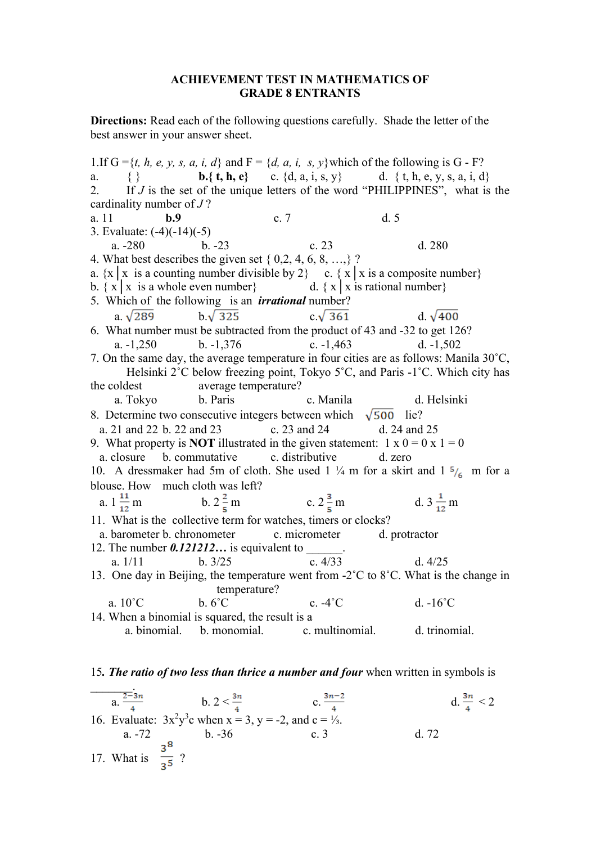#### **ACHIEVEMENT TEST IN MATHEMATICS OF GRADE 8 ENTRANTS**

**Directions:** Read each of the following questions carefully. Shade the letter of the best answer in your answer sheet.

1.If  $G = \{t, h, e, y, s, a, i, d\}$  and  $F = \{d, a, i, s, y\}$  which of the following is  $G - F$ ? a. { } **b.**{**t, h, e**} c. {d, a, i, s, y} d. { t, h, e, y, s, a, i, d} 2. If *J* is the set of the unique letters of the word "PHILIPPINES", what is the cardinality number of *J* ? a. 11 **b.9** c. 7 d. 5 3. Evaluate: (-4)(-14)(-5) a. -280 b. -23 c. 23 d. 280 4. What best describes the given set { 0,2, 4, 6, 8, …,} ? a.  $\{x \mid x \text{ is a counting number divisible by } 2\}$  c.  $\{x \mid x \text{ is a composite number}\}$ b.  $\{ x \mid x \text{ is a whole even number} \}$  d.  $\{ x \mid x \text{ is rational number} \}$ 5. Which of the following is an *irrational* number? a.  $\sqrt{289}$  b. $\sqrt{325}$  c. $\sqrt{361}$  d.  $\sqrt{400}$ 6. What number must be subtracted from the product of 43 and -32 to get 126? a. -1,250 b. -1,376 c. -1,463 d. -1,502 7. On the same day, the average temperature in four cities are as follows: Manila 30˚C, Helsinki 2˚C below freezing point, Tokyo 5˚C, and Paris -1˚C. Which city has the coldest average temperature? a. Tokyo b. Paris c. Manila d. Helsinki 8. Determine two consecutive integers between which  $\sqrt{500}$  lie? a. 21 and 22 b. 22 and 23 c. 23 and 24 d. 24 and 25 9. What property is **NOT** illustrated in the given statement:  $1 \times 0 = 0 \times 1 = 0$ a. closure b. commutative c. distributive d. zero 10. A dressmaker had 5m of cloth. She used 1  $\frac{1}{4}$  m for a skirt and 1  $\frac{5}{6}$  m for a blouse. How much cloth was left?<br>a.  $1\frac{11}{12}$  m b.  $2\frac{2}{5}$  m c.  $2\frac{3}{5}$  m d.  $3\frac{1}{12}$  m 11. What is the collective term for watches, timers or clocks? a. barometer b. chronometer c. micrometer d. protractor 12. The number  $0.121212...$  is equivalent to a. 1/11 b. 3/25 c. 4/33 d. 4/25 13. One day in Beijing, the temperature went from -2°C to 8°C. What is the change in temperature? a. 10˚C b. 6˚C c. -4˚C d. -16˚C 14. When a binomial is squared, the result is a a. binomial. b. monomial. c. multinomial. d. trinomial.

#### 15*. The ratio of two less than thrice a number and four* when written in symbols is

 $\mathcal{L}=\mathcal{L}$ a.  $\frac{2-3n}{4}$  b.  $2 < \frac{3n}{4}$  c.  $\frac{3n-2}{4}$  d.  $\frac{3n}{4} < 2$ 16. Evaluate:  $3x^2y^3c$  when  $x = 3$ ,  $y = -2$ , and  $c = \frac{1}{3}$ . a. -72 b. -36 c. 3 d. 72 a.  $-72$  b.  $-36$ <br>17. What is  $\frac{3^8}{3^5}$  ?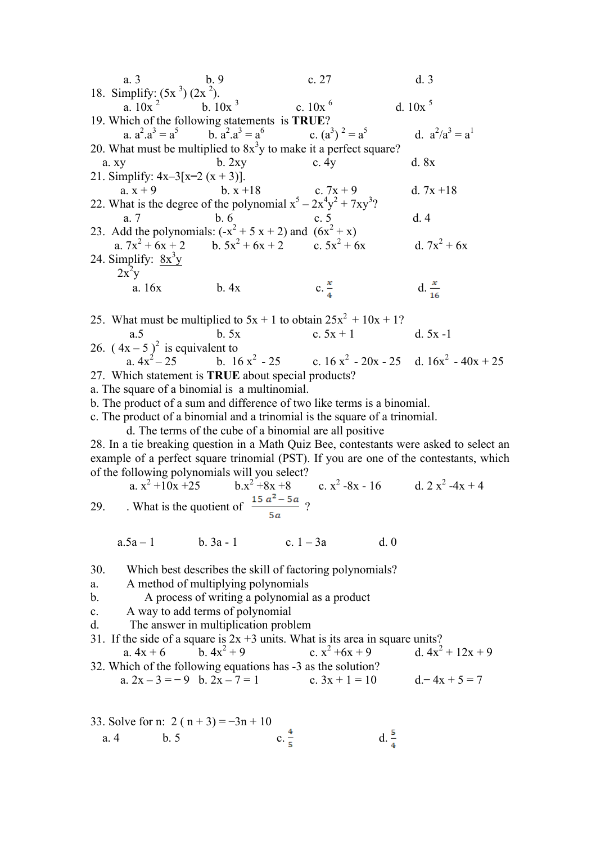a. 3 b. 9 c. 27 d. 3 18. Simplify:  $(5x^3) (2x^2)$ . a.  $10x^2$  b.  $10x^3$  c.  $10x^6$  d.  $10x^5$ 19. Which of the following statements is **TRUE**? a.  $a^2 \cdot a^3 = a^5$  b.  $a^2$ b.  $a^2 \cdot a^3 = a^6$ c.  $(a^3)^2 = a^5$  $= a^5$  d.  $a^2/a^3 = a^1$ 20. What must be multiplied to  $8x<sup>3</sup>y$  to make it a perfect square? a. xy b. 2xy c. 4y d. 8x 21. Simplify:  $4x-3[x-2(x+3)]$ . a.  $x + 9$  b.  $x + 18$  c.  $7x + 9$  d.  $7x + 18$ 22. What is the degree of the polynomial  $x^5 - 2x^4y^2 + 7xy^3$ ? a. 7 b. 6 c. 5 d. 4 23. Add the polynomials:  $(-x^2 + 5x + 2)$  and  $(6x^2 + x)$ a.  $7x^2 + 6x + 2$  b.  $5x^2 + 6x + 2$  c.  $5x^2 + 6x$  d.  $7x^2 + 6x$ 24. Simplify:  $8x^3y$  $2x^2y$ a.  $16x$  b.  $4x$  c.  $\frac{x}{4}$  d. 25. What must be multiplied to  $5x + 1$  to obtain  $25x^2 + 10x + 1$ ? a.5 b. 5x c.  $5x + 1$  d.  $5x - 1$ 26.  $(4x-5)^2$  is equivalent to<br>a.  $4x^2-25$  b. 16 b.  $16 x^2 - 25$  c.  $16 x^2 - 20x - 25$  d.  $16x^2 - 40x + 25$ 27. Which statement is **TRUE** about special products? a. The square of a binomial is a multinomial. b. The product of a sum and difference of two like terms is a binomial. c. The product of a binomial and a trinomial is the square of a trinomial. d. The terms of the cube of a binomial are all positive 28. In a tie breaking question in a Math Quiz Bee, contestants were asked to select an example of a perfect square trinomial (PST). If you are one of the contestants, which of the following polynomials will you select?<br>
a.  $x^2 + 10x + 25$ <br>
b.  $x^2 + 8x + 8$ <br>
c.  $x^2 - 8x - 16$ a.  $x^2 + 10x + 25$  b. $x^2 + 8x + 8$  c. x d.  $2 x^2 -4x + 4$ 29. What is the quotient of  $\frac{25a}{1}$ ?

30. Which best describes the skill of factoring polynomials?

 $a.5a-1$  b.  $3a-1$  c.  $1-3a$  d. 0

- a. A method of multiplying polynomials
- b. A process of writing a polynomial as a product
- c. A way to add terms of polynomial
- d. The answer in multiplication problem

31. If the side of a square is  $2x + 3$  units. What is its area in square units?

a.  $4x + 6$  b.  $4x^2 + 9$  c.  $x^2 +6x + 9$  d.  $4x^2 + 12x + 9$ 32. Which of the following equations has -3 as the solution? a.  $2x - 3 = -9$  b.  $2x - 7 = 1$  c.  $3x + 1 = 10$  d.  $-4x + 5 = 7$ 

33. Solve for n: 2 (n + 3) = -3n + 10  
a. 4 b. 5 c. 
$$
\frac{4}{5}
$$
 d.  $\frac{5}{4}$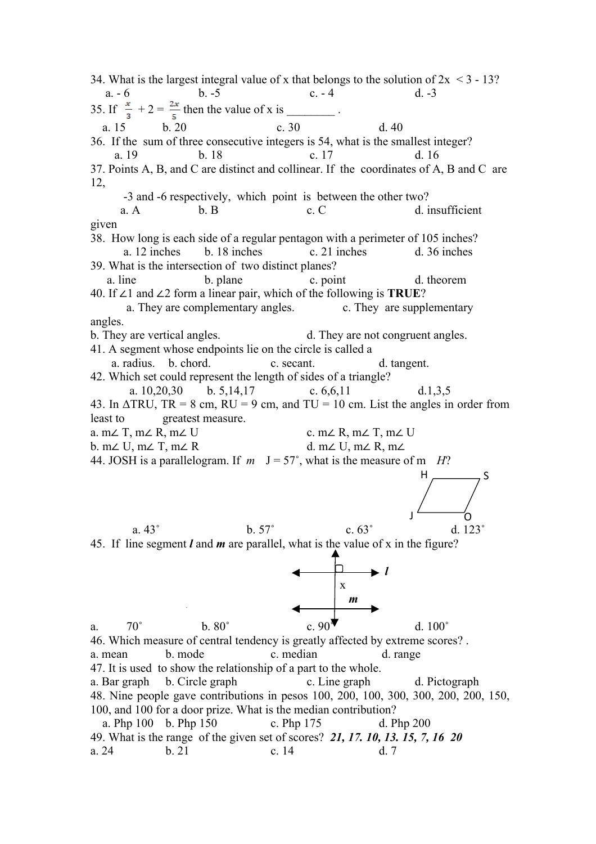34. What is the largest integral value of x that belongs to the solution of  $2x < 3 - 13$ ? a.  $-6$  b.  $-5$  c.  $-4$  d.  $-3$ 35. If  $\frac{x}{3} + 2 = \frac{2x}{5}$  then the value of x is \_\_\_\_\_\_\_\_. a. 15 b. 20 c. 30 d. 40 36. If the sum of three consecutive integers is 54, what is the smallest integer? a. 19 b. 18 c. 17 d. 16 37. Points A, B, and C are distinct and collinear. If the coordinates of A, B and C are 12, -3 and -6 respectively, which point is between the other two? a. A b. B c. C d. insufficient given 38. How long is each side of a regular pentagon with a perimeter of 105 inches? a. 12 inches b. 18 inches c. 21 inches d. 36 inches 39. What is the intersection of two distinct planes? a. line b. plane c. point d. theorem 40. If ∠1 and ∠2 form a linear pair, which of the following is **TRUE**? a. They are complementary angles. c. They are supplementary angles. b. They are vertical angles. d. They are not congruent angles. 41. A segment whose endpoints lie on the circle is called a a. radius. b. chord. c. secant. d. tangent. 42. Which set could represent the length of sides of a triangle? a. 10,20,30 b. 5,14,17 c. 6,6,11 d.1,3,5 43. In  $\triangle TRU$ ,  $TR = 8$  cm,  $RU = 9$  cm, and  $TU = 10$  cm. List the angles in order from least to greatest measure. a. m∠ T, m∠ R, m∠ U c. m∠ R, m∠ T, m∠ U b. m∠ U, m∠ T, m∠ R d. m∠ U, m∠ R, m∠ 44. JOSH is a parallelogram. If  $m \text{ J} = 57^{\circ}$ , what is the measure of m *H*? a.  $43°$  b.  $57°$  c.  $63°$  d.  $123°$ 45. If line segment *l* and *m* are parallel, what is the value of x in the figure? *l* x *m* a.  $70^\circ$  b.  $80^\circ$  c.  $90^\bullet$  d.  $100^\circ$ 46. Which measure of central tendency is greatly affected by extreme scores? . a. mean b. mode c. median d. range 47. It is used to show the relationship of a part to the whole. a. Bar graph b. Circle graph c. Line graph d. Pictograph 48. Nine people gave contributions in pesos 100, 200, 100, 300, 300, 200, 200, 150, 100, and 100 for a door prize. What is the median contribution? a. Php 100 b. Php 150 c. Php 175 d. Php 200 49. What is the range of the given set of scores? *21, 17. 10, 13. 15, 7, 16 20* a. 24 b. 21 c. 14 d. 7  $\overline{\circ}$  o  $H \longrightarrow S$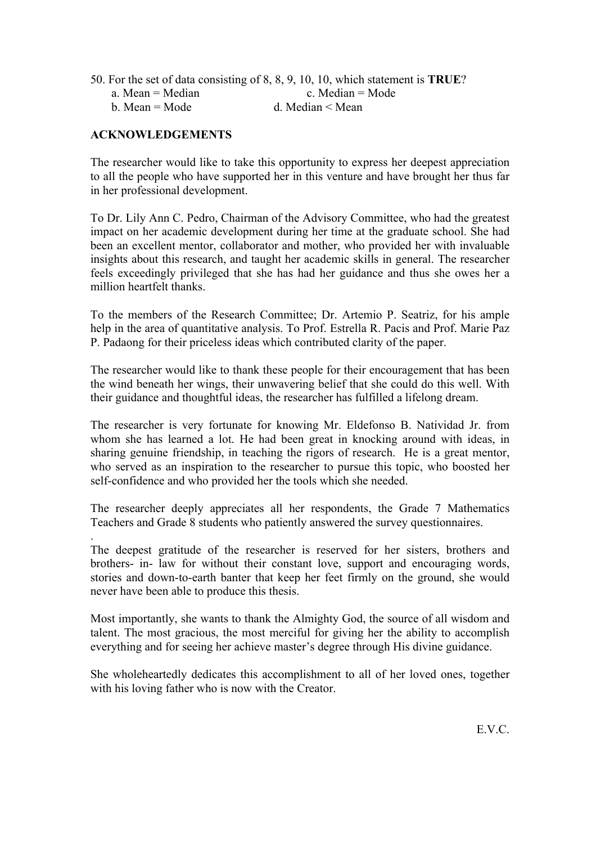|                  | 50. For the set of data consisting of 8, 8, 9, 10, 10, which statement is <b>TRUE</b> ? |
|------------------|-----------------------------------------------------------------------------------------|
| a. Mean = Median | c. Median $=$ Mode                                                                      |
| b. Mean = Mode   | d. Median $\leq$ Mean                                                                   |

# **ACKNOWLEDGEMENTS**

.

The researcher would like to take this opportunity to express her deepest appreciation to all the people who have supported her in this venture and have brought her thus far in her professional development.

To Dr. Lily Ann C. Pedro, Chairman of the Advisory Committee, who had the greatest impact on her academic development during her time at the graduate school. She had been an excellent mentor, collaborator and mother, who provided her with invaluable insights about this research, and taught her academic skills in general. The researcher feels exceedingly privileged that she has had her guidance and thus she owes her a million heartfelt thanks.

To the members of the Research Committee; Dr. Artemio P. Seatriz, for his ample help in the area of quantitative analysis. To Prof. Estrella R. Pacis and Prof. Marie Paz P. Padaong for their priceless ideas which contributed clarity of the paper.

The researcher would like to thank these people for their encouragement that has been the wind beneath her wings, their unwavering belief that she could do this well. With their guidance and thoughtful ideas, the researcher has fulfilled a lifelong dream.

The researcher is very fortunate for knowing Mr. Eldefonso B. Natividad Jr. from whom she has learned a lot. He had been great in knocking around with ideas, in sharing genuine friendship, in teaching the rigors of research. He is a great mentor, who served as an inspiration to the researcher to pursue this topic, who boosted her self-confidence and who provided her the tools which she needed.

The researcher deeply appreciates all her respondents, the Grade 7 Mathematics Teachers and Grade 8 students who patiently answered the survey questionnaires.

The deepest gratitude of the researcher is reserved for her sisters, brothers and brothers- in- law for without their constant love, support and encouraging words, stories and down-to-earth banter that keep her feet firmly on the ground, she would never have been able to produce this thesis.

Most importantly, she wants to thank the Almighty God, the source of all wisdom and talent. The most gracious, the most merciful for giving her the ability to accomplish everything and for seeing her achieve master's degree through His divine guidance.

She wholeheartedly dedicates this accomplishment to all of her loved ones, together with his loving father who is now with the Creator.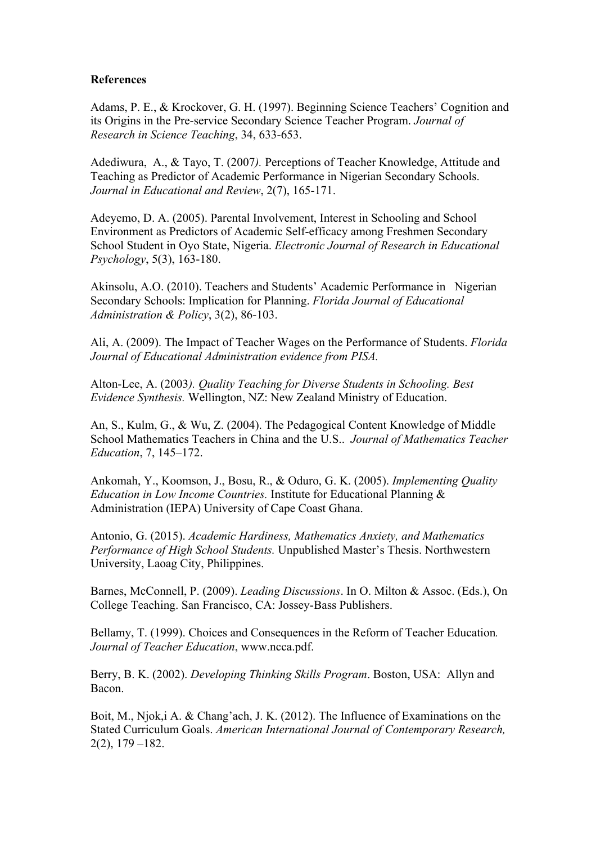#### **References**

Adams, P. E., & Krockover, G. H. (1997). Beginning Science Teachers' Cognition and its Origins in the Pre-service Secondary Science Teacher Program. *Journal of Research in Science Teaching*, 34, 633-653.

Adediwura, A., & Tayo, T. (2007*).* Perceptions of Teacher Knowledge, Attitude and Teaching as Predictor of Academic Performance in Nigerian Secondary Schools. *Journal in Educational and Review*, 2(7), 165-171.

Adeyemo, D. A. (2005). Parental Involvement, Interest in Schooling and School Environment as Predictors of Academic Self-efficacy among Freshmen Secondary School Student in Oyo State, Nigeria. *Electronic Journal of Research in Educational Psychology*, 5(3), 163-180.

Akinsolu, A.O. (2010). Teachers and Students' Academic Performance in Nigerian Secondary Schools: Implication for Planning. *Florida Journal of Educational Administration & Policy*, 3(2), 86-103.

Ali, A. (2009). The Impact of Teacher Wages on the Performance of Students. *Florida Journal of Educational Administration evidence from PISA.*

Alton-Lee, A. (2003*). Quality Teaching for Diverse Students in Schooling. Best Evidence Synthesis.* Wellington, NZ: New Zealand Ministry of Education.

An, S., Kulm, G., & Wu, Z. (2004). The Pedagogical Content Knowledge of Middle School Mathematics Teachers in China and the U.S.. *Journal of Mathematics Teacher Education*, 7, 145–172.

Ankomah, Y., Koomson, J., Bosu, R., & Oduro, G. K. (2005). *Implementing Quality Education in Low Income Countries.* Institute for Educational Planning & Administration (IEPA) University of Cape Coast Ghana.

Antonio, G. (2015). *Academic Hardiness, Mathematics Anxiety, and Mathematics Performance of High School Students.* Unpublished Master's Thesis. Northwestern University, Laoag City, Philippines.

Barnes, McConnell, P. (2009). *Leading Discussions*. In O. Milton & Assoc. (Eds.), On College Teaching. San Francisco, CA: Jossey-Bass Publishers.

Bellamy, T. (1999). Choices and Consequences in the Reform of Teacher Education*. Journal of Teacher Education*, www.ncca.pdf.

Berry, B. K. (2002). *Developing Thinking Skills Program*. Boston, USA: Allyn and Bacon.

Boit, M., Njok,i A. & Chang'ach, J. K. (2012). The Influence of Examinations on the Stated Curriculum Goals. *American International Journal of Contemporary Research,*  2(2), 179 –182.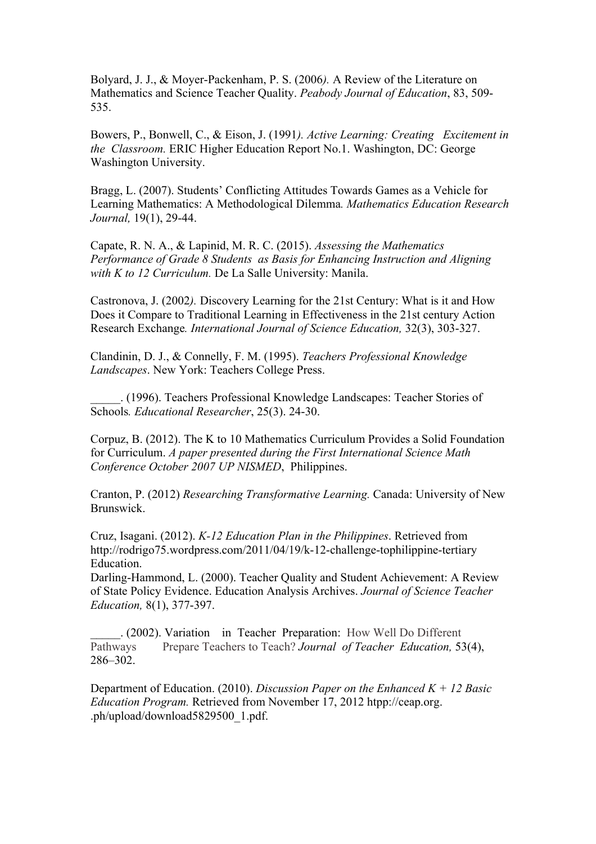Bolyard, J. J., & Moyer-Packenham, P. S. (2006*).* A Review of the Literature on Mathematics and Science Teacher Quality. *Peabody Journal of Education*, 83, 509- 535.

Bowers, P., Bonwell, C., & Eison, J. (1991*). Active Learning: Creating Excitement in the Classroom.* ERIC Higher Education Report No.1. Washington, DC: George Washington University.

Bragg, L. (2007). Students' Conflicting Attitudes Towards Games as a Vehicle for Learning Mathematics: A Methodological Dilemma*. Mathematics Education Research Journal,* 19(1), 29-44.

Capate, R. N. A., & Lapinid, M. R. C. (2015). *Assessing the Mathematics Performance of Grade 8 Students as Basis for Enhancing Instruction and Aligning with K to 12 Curriculum.* De La Salle University: Manila.

Castronova, J. (2002*).* Discovery Learning for the 21st Century: What is it and How Does it Compare to Traditional Learning in Effectiveness in the 21st century Action Research Exchange*. International Journal of Science Education,* 32(3), 303-327.

Clandinin, D. J., & Connelly, F. M. (1995). *Teachers Professional Knowledge Landscapes*. New York: Teachers College Press.

\_\_\_\_\_. (1996). Teachers Professional Knowledge Landscapes: Teacher Stories of Schools*. Educational Researcher*, 25(3). 24-30.

Corpuz, B. (2012). The K to 10 Mathematics Curriculum Provides a Solid Foundation for Curriculum. *A paper presented during the First International Science Math Conference October 2007 UP NISMED*, Philippines.

Cranton, P. (2012) *Researching Transformative Learning.* Canada: University of New Brunswick.

Cruz, Isagani. (2012). *K-12 Education Plan in the Philippines*. Retrieved from http://rodrigo75.wordpress.com/2011/04/19/k-12-challenge-tophilippine-tertiary Education.

Darling-Hammond, L. (2000). Teacher Quality and Student Achievement: A Review of State Policy Evidence. Education Analysis Archives. *Journal of Science Teacher Education,* 8(1), 377-397.

\_\_\_\_\_. (2002). Variation in Teacher Preparation: How Well Do Different Pathways Prepare Teachers to Teach? *Journal of Teacher Education,* 53(4), 286–302.

Department of Education. (2010). *Discussion Paper on the Enhanced K + 12 Basic Education Program.* Retrieved from November 17, 2012 htpp://ceap.org. .ph/upload/download5829500\_1.pdf.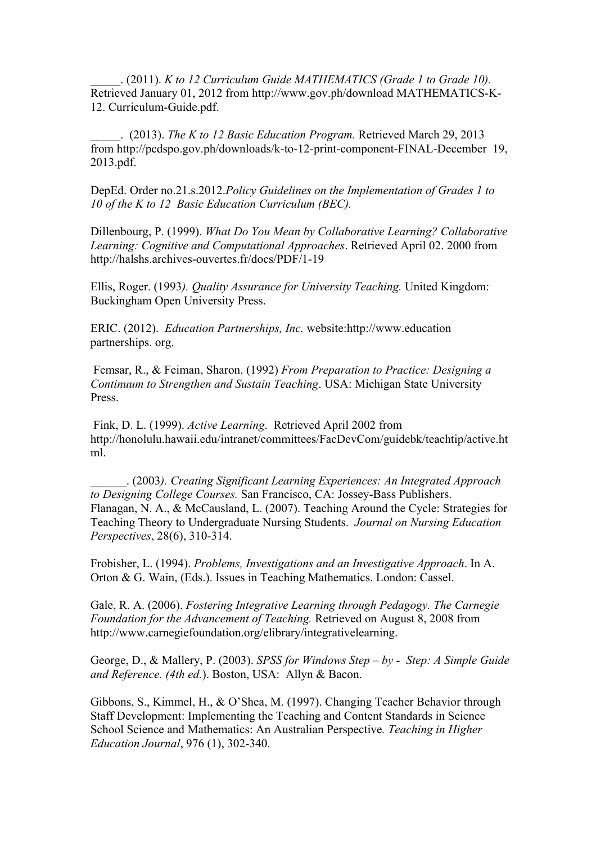\_\_\_\_\_. (2011). *K to 12 Curriculum Guide MATHEMATICS (Grade 1 to Grade 10).* Retrieved January 01, 2012 from http://www.gov.ph/download MATHEMATICS-K-12. Curriculum-Guide.pdf.

\_\_\_\_\_. (2013). *The K to 12 Basic Education Program.* Retrieved March 29, 2013 from http://pcdspo.gov.ph/downloads/k-to-12-print-component-FINAL-December 19, 2013.pdf.

DepEd. Order no.21.s.2012.*Policy Guidelines on the Implementation of Grades 1 to 10 of the K to 12 Basic Education Curriculum (BEC).*

Dillenbourg, P. (1999). *What Do You Mean by Collaborative Learning? Collaborative Learning: Cognitive and Computational Approaches*. Retrieved April 02. 2000 from http://halshs.archives-ouvertes.fr/docs/PDF/1-19

Ellis, Roger. (1993*). Quality Assurance for University Teaching.* United Kingdom: Buckingham Open University Press.

ERIC. (2012). *Education Partnerships, Inc.* website:http://www.education partnerships. org.

Femsar, R., & Feiman, Sharon. (1992) *From Preparation to Practice: Designing a Continuum to Strengthen and Sustain Teaching*. USA: Michigan State University Press.

Fink, D. L. (1999). *Active Learning*. Retrieved April 2002 from http://honolulu.hawaii.edu/intranet/committees/FacDevCom/guidebk/teachtip/active.ht ml.

\_\_\_\_\_\_. (2003*). Creating Significant Learning Experiences: An Integrated Approach to Designing College Courses.* San Francisco, CA: Jossey-Bass Publishers. Flanagan, N. A., & McCausland, L. (2007). Teaching Around the Cycle: Strategies for Teaching Theory to Undergraduate Nursing Students. *Journal on Nursing Education Perspectives*, 28(6), 310-314.

Frobisher, L. (1994). *Problems, Investigations and an Investigative Approach*. In A. Orton & G. Wain, (Eds.). Issues in Teaching Mathematics. London: Cassel.

Gale, R. A. (2006). *Fostering Integrative Learning through Pedagogy. The Carnegie Foundation for the Advancement of Teaching.* Retrieved on August 8, 2008 from http://www.carnegiefoundation.org/elibrary/integrativelearning.

George, D., & Mallery, P. (2003). *SPSS for Windows Step – by - Step: A Simple Guide and Reference. (4th ed.*). Boston, USA: Allyn & Bacon.

Gibbons, S., Kimmel, H., & O'Shea, M. (1997). Changing Teacher Behavior through Staff Development: Implementing the Teaching and Content Standards in Science School Science and Mathematics: An Australian Perspective*. Teaching in Higher Education Journal*, 976 (1), 302-340.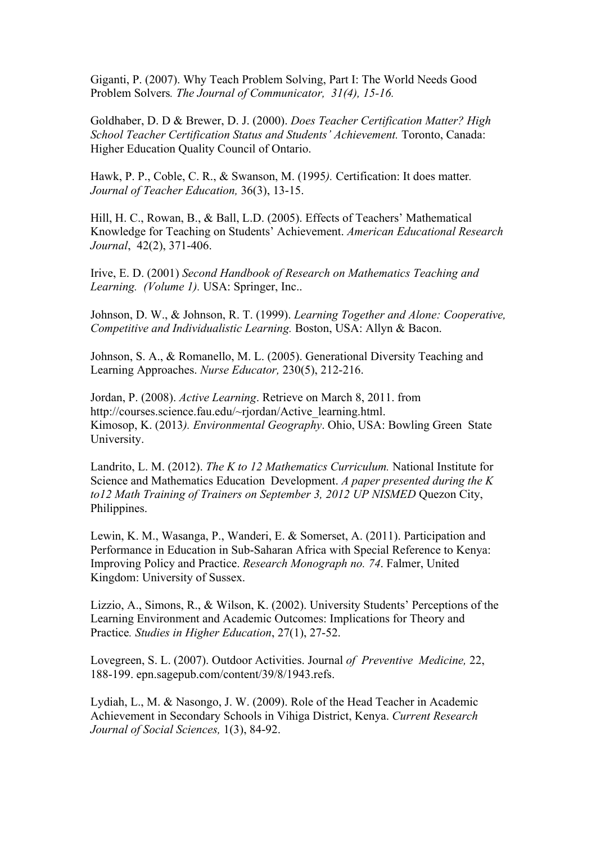Giganti, P. (2007). Why Teach Problem Solving, Part I: The World Needs Good Problem Solvers*. The Journal of Communicator, 31(4), 15-16.*

Goldhaber, D. D & Brewer, D. J. (2000). *Does Teacher Certification Matter? High School Teacher Certification Status and Students' Achievement.* Toronto, Canada: Higher Education Quality Council of Ontario.

Hawk, P. P., Coble, C. R., & Swanson, M. (1995*).* Certification: It does matter*. Journal of Teacher Education,* 36(3), 13-15.

Hill, H. C., Rowan, B., & Ball, L.D. (2005). Effects of Teachers' Mathematical Knowledge for Teaching on Students' Achievement. *American Educational Research Journal*, 42(2), 371-406.

Irive, E. D. (2001) *Second Handbook of Research on Mathematics Teaching and Learning. (Volume 1).* USA: Springer, Inc..

Johnson, D. W., & Johnson, R. T. (1999). *Learning Together and Alone: Cooperative, Competitive and Individualistic Learning.* Boston, USA: Allyn & Bacon.

Johnson, S. A., & Romanello, M. L. (2005). Generational Diversity Teaching and Learning Approaches. *Nurse Educator,* 230(5), 212-216.

Jordan, P. (2008). *Active Learning*. Retrieve on March 8, 2011. from http://courses.science.fau.edu/~rjordan/Active\_learning.html. Kimosop, K. (2013*). Environmental Geography*. Ohio, USA: Bowling Green State University.

Landrito, L. M. (2012). *The K to 12 Mathematics Curriculum.* National Institute for Science and Mathematics Education Development. *A paper presented during the K to12 Math Training of Trainers on September 3, 2012 UP NISMED* Quezon City, Philippines.

Lewin, K. M., Wasanga, P., Wanderi, E. & Somerset, A. (2011). Participation and Performance in Education in Sub-Saharan Africa with Special Reference to Kenya: Improving Policy and Practice. *Research Monograph no. 74*. Falmer, United Kingdom: University of Sussex.

Lizzio, A., Simons, R., & Wilson, K. (2002). University Students' Perceptions of the Learning Environment and Academic Outcomes: Implications for Theory and Practice*. Studies in Higher Education*, 27(1), 27-52.

Lovegreen, S. L. (2007). Outdoor Activities. Journal *of Preventive Medicine,* 22, 188-199. epn.sagepub.com/content/39/8/1943.refs.

Lydiah, L., M. & Nasongo, J. W. (2009). Role of the Head Teacher in Academic Achievement in Secondary Schools in Vihiga District, Kenya. *Current Research Journal of Social Sciences,* 1(3), 84-92.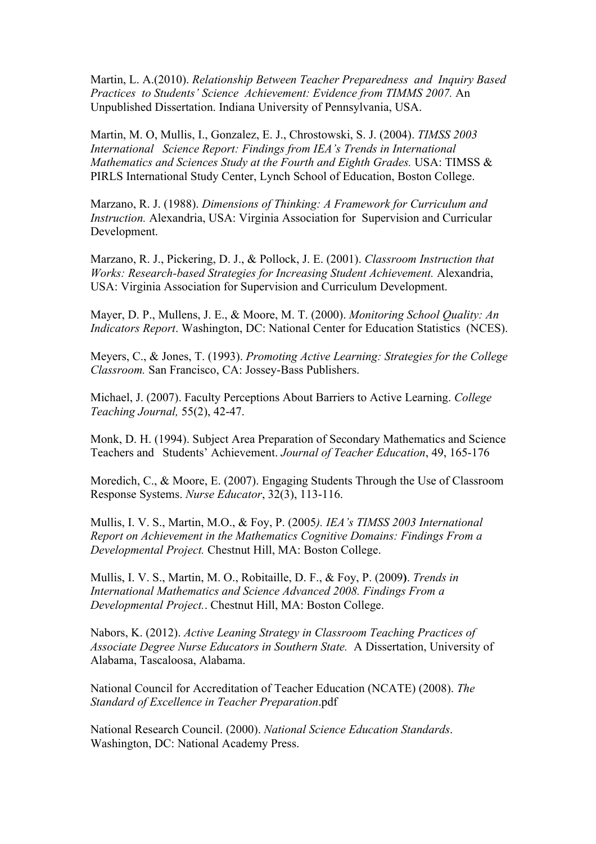Martin, L. A.(2010). *Relationship Between Teacher Preparedness and Inquiry Based Practices to Students' Science Achievement: Evidence from TIMMS 2007.* An Unpublished Dissertation. Indiana University of Pennsylvania, USA.

Martin, M. O, Mullis, I., Gonzalez, E. J., Chrostowski, S. J. (2004). *TIMSS 2003 International Science Report: Findings from IEA's Trends in International Mathematics and Sciences Study at the Fourth and Eighth Grades.* USA: TIMSS & PIRLS International Study Center, Lynch School of Education, Boston College.

Marzano, R. J. (1988). *Dimensions of Thinking: A Framework for Curriculum and Instruction.* Alexandria, USA: Virginia Association for Supervision and Curricular Development.

Marzano, R. J., Pickering, D. J., & Pollock, J. E. (2001). *Classroom Instruction that Works: Research-based Strategies for Increasing Student Achievement.* Alexandria, USA: Virginia Association for Supervision and Curriculum Development.

Mayer, D. P., Mullens, J. E., & Moore, M. T. (2000). *Monitoring School Quality: An Indicators Report*. Washington, DC: National Center for Education Statistics (NCES).

Meyers, C., & Jones, T. (1993). *Promoting Active Learning: Strategies for the College Classroom.* San Francisco, CA: Jossey-Bass Publishers.

Michael, J. (2007). Faculty Perceptions About Barriers to Active Learning. *College Teaching Journal,* 55(2), 42-47.

Monk, D. H. (1994). Subject Area Preparation of Secondary Mathematics and Science Teachers and Students' Achievement. *Journal of Teacher Education*, 49, 165-176

Moredich, C., & Moore, E. (2007). Engaging Students Through the Use of Classroom Response Systems. *Nurse Educator*, 32(3), 113-116.

Mullis, I. V. S., Martin, M.O., & Foy, P. (2005*). IEA's TIMSS 2003 International Report on Achievement in the Mathematics Cognitive Domains: Findings From a Developmental Project.* Chestnut Hill, MA: Boston College.

Mullis, I. V. S., Martin, M. O., Robitaille, D. F., & Foy, P. (2009**)**. *Trends in International Mathematics and Science Advanced 2008. Findings From a Developmental Project.*. Chestnut Hill, MA: Boston College.

Nabors, K. (2012). *Active Leaning Strategy in Classroom Teaching Practices of Associate Degree Nurse Educators in Southern State.* A Dissertation, University of Alabama, Tascaloosa, Alabama.

National Council for Accreditation of Teacher Education (NCATE) (2008). *The Standard of Excellence in Teacher Preparation*.pdf

National Research Council. (2000). *National Science Education Standards*. Washington, DC: National Academy Press.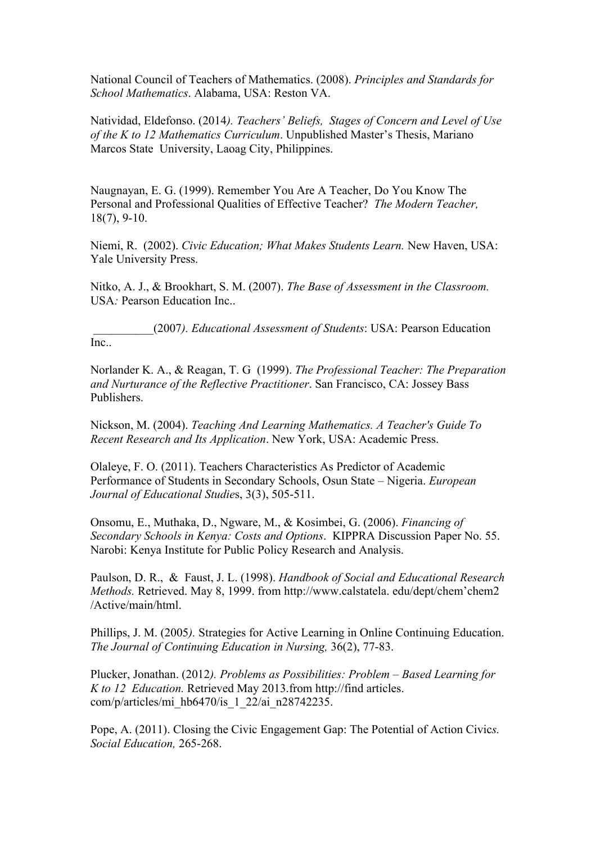National Council of Teachers of Mathematics. (2008). *Principles and Standards for School Mathematics*. Alabama, USA: Reston VA.

Natividad, Eldefonso. (2014*). Teachers' Beliefs, Stages of Concern and Level of Use of the K to 12 Mathematics Curriculum*. Unpublished Master's Thesis, Mariano Marcos State University, Laoag City, Philippines.

Naugnayan, E. G. (1999). Remember You Are A Teacher, Do You Know The Personal and Professional Qualities of Effective Teacher? *The Modern Teacher,*  18(7), 9-10.

Niemi, R. (2002). *Civic Education; What Makes Students Learn.* New Haven, USA: Yale University Press.

Nitko, A. J., & Brookhart, S. M. (2007). *The Base of Assessment in the Classroom.* USA: Pearson Education Inc..

\_\_\_\_\_\_\_\_\_\_(2007*). Educational Assessment of Students*: USA: Pearson Education Inc..

Norlander K. A., & Reagan, T. G (1999). *The Professional Teacher: The Preparation and Nurturance of the Reflective Practitioner*. San Francisco, CA: Jossey Bass Publishers.

Nickson, M. (2004). *Teaching And Learning Mathematics. A Teacher's Guide To Recent Research and Its Application*. New York, USA: Academic Press.

Olaleye, F. O. (2011). Teachers Characteristics As Predictor of Academic Performance of Students in Secondary Schools, Osun State – Nigeria. *European Journal of Educational Studie*s, 3(3), 505-511.

Onsomu, E., Muthaka, D., Ngware, M., & Kosimbei, G. (2006). *Financing of Secondary Schools in Kenya: Costs and Options*. KIPPRA Discussion Paper No. 55. Narobi: Kenya Institute for Public Policy Research and Analysis.

Paulson, D. R., & Faust, J. L. (1998). *Handbook of Social and Educational Research Methods.* Retrieved. May 8, 1999. from http://www.calstatela. edu/dept/chem'chem2 /Active/main/html.

Phillips, J. M. (2005*).* Strategies for Active Learning in Online Continuing Education. *The Journal of Continuing Education in Nursing,* 36(2), 77-83.

Plucker, Jonathan. (2012*). Problems as Possibilities: Problem – Based Learning for K to 12 Education.* Retrieved May 2013.from http://find articles. com/p/articles/mi\_hb6470/is\_1\_22/ai\_n28742235.

Pope, A. (2011). Closing the Civic Engagement Gap: The Potential of Action Civic*s. Social Education,* 265-268.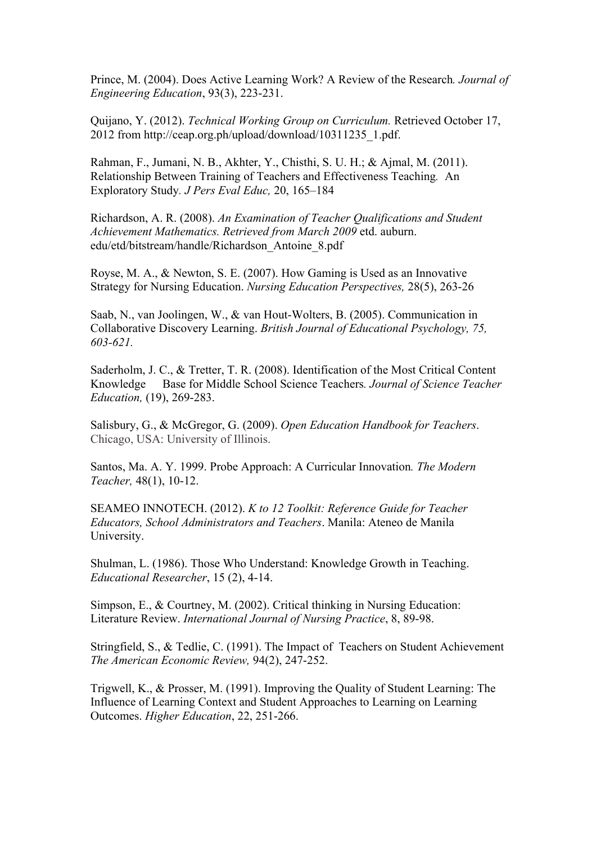Prince, M. (2004). Does Active Learning Work? A Review of the Research*. Journal of Engineering Education*, 93(3), 223-231.

Quijano, Y. (2012). *Technical Working Group on Curriculum.* Retrieved October 17, 2012 from http://ceap.org.ph/upload/download/10311235\_1.pdf.

Rahman, F., Jumani, N. B., Akhter, Y., Chisthi, S. U. H.; & Ajmal, M. (2011). Relationship Between Training of Teachers and Effectiveness Teaching*.* An Exploratory Study*. J Pers Eval Educ,* 20, 165–184

Richardson, A. R. (2008). *An Examination of Teacher Qualifications and Student Achievement Mathematics. Retrieved from March 2009* etd. auburn. edu/etd/bitstream/handle/Richardson\_Antoine\_8.pdf

Royse, M. A., & Newton, S. E. (2007). How Gaming is Used as an Innovative Strategy for Nursing Education. *Nursing Education Perspectives,* 28(5), 263-26

Saab, N., van Joolingen, W., & van Hout-Wolters, B. (2005). Communication in Collaborative Discovery Learning. *British Journal of Educational Psychology, 75, 603-621.* 

Saderholm, J. C., & Tretter, T. R. (2008). Identification of the Most Critical Content Knowledge Base for Middle School Science Teachers*. Journal of Science Teacher Education,* (19), 269-283.

Salisbury, G., & McGregor, G. (2009). *Open Education Handbook for Teachers*. Chicago, USA: University of Illinois.

Santos, Ma. A. Y. 1999. Probe Approach: A Curricular Innovation*. The Modern Teacher,* 48(1), 10-12.

SEAMEO INNOTECH. (2012). *K to 12 Toolkit: Reference Guide for Teacher Educators, School Administrators and Teachers*. Manila: Ateneo de Manila University.

Shulman, L. (1986). Those Who Understand: Knowledge Growth in Teaching. *Educational Researcher*, 15 (2), 4-14.

Simpson, E., & Courtney, M. (2002). Critical thinking in Nursing Education: Literature Review. *International Journal of Nursing Practice*, 8, 89-98.

Stringfield, S., & Tedlie, C. (1991). The Impact of Teachers on Student Achievement *The American Economic Review,* 94(2), 247-252.

Trigwell, K., & Prosser, M. (1991). Improving the Quality of Student Learning: The Influence of Learning Context and Student Approaches to Learning on Learning Outcomes. *Higher Education*, 22, 251-266.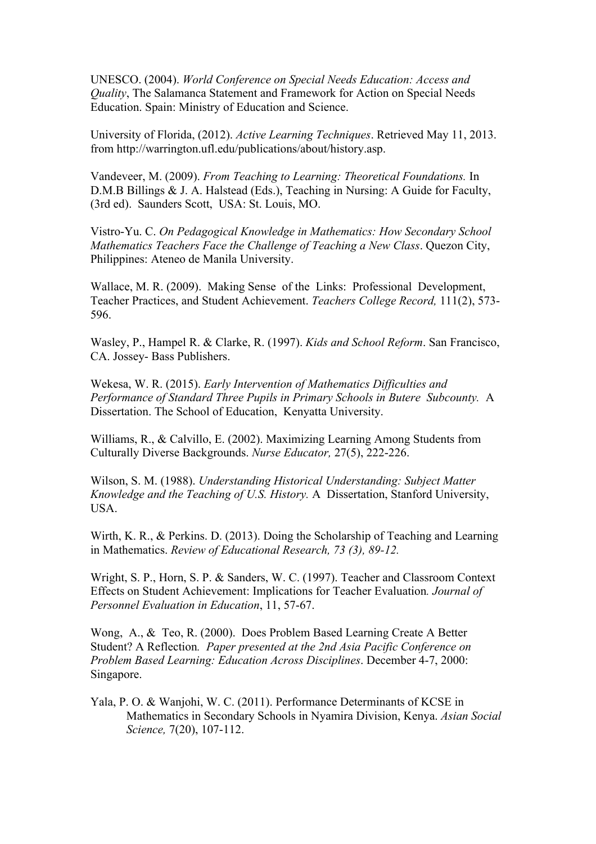UNESCO. (2004). *World Conference on Special Needs Education: Access and Quality*, The Salamanca Statement and Framework for Action on Special Needs Education. Spain: Ministry of Education and Science.

University of Florida, (2012). *Active Learning Techniques*. Retrieved May 11, 2013. from http://warrington.ufl.edu/publications/about/history.asp.

Vandeveer, M. (2009). *From Teaching to Learning: Theoretical Foundations.* In D.M.B Billings & J. A. Halstead (Eds.), Teaching in Nursing: A Guide for Faculty, (3rd ed). Saunders Scott, USA: St. Louis, MO.

Vistro-Yu. C. *On Pedagogical Knowledge in Mathematics: How Secondary School Mathematics Teachers Face the Challenge of Teaching a New Class*. Quezon City, Philippines: Ateneo de Manila University.

Wallace, M. R. (2009). Making Sense of the Links: Professional Development, Teacher Practices, and Student Achievement. *Teachers College Record,* 111(2), 573- 596.

Wasley, P., Hampel R. & Clarke, R. (1997). *Kids and School Reform*. San Francisco, CA. Jossey- Bass Publishers.

Wekesa, W. R. (2015). *Early Intervention of Mathematics Difficulties and Performance of Standard Three Pupils in Primary Schools in Butere Subcounty.* A Dissertation. The School of Education, Kenyatta University.

Williams, R., & Calvillo, E. (2002). Maximizing Learning Among Students from Culturally Diverse Backgrounds. *Nurse Educator,* 27(5), 222-226.

Wilson, S. M. (1988). *Understanding Historical Understanding: Subject Matter Knowledge and the Teaching of U.S. History.* A Dissertation, Stanford University, USA.

Wirth, K. R., & Perkins. D. (2013). Doing the Scholarship of Teaching and Learning in Mathematics. *Review of Educational Research, 73 (3), 89-12.* 

Wright, S. P., Horn, S. P. & Sanders, W. C. (1997). Teacher and Classroom Context Effects on Student Achievement: Implications for Teacher Evaluation*. Journal of Personnel Evaluation in Education*, 11, 57-67.

Wong, A., & Teo, R. (2000). Does Problem Based Learning Create A Better Student? A Reflection*. Paper presented at the 2nd Asia Pacific Conference on Problem Based Learning: Education Across Disciplines*. December 4-7, 2000: Singapore.

Yala, P. O. & Wanjohi, W. C. (2011). Performance Determinants of KCSE in Mathematics in Secondary Schools in Nyamira Division, Kenya. *Asian Social Science,* 7(20), 107-112.